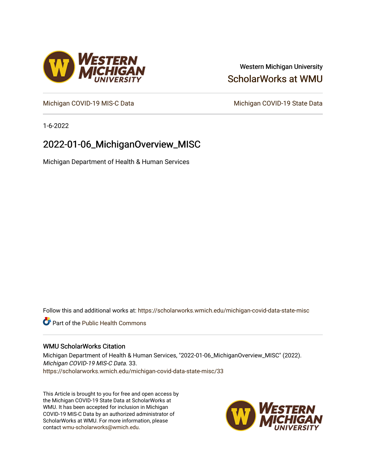## Western Michigan University [ScholarWorks at WMU](https://scholarworks.wmich.edu/)

[Michigan COVID-19 MIS-C Data](https://scholarworks.wmich.edu/michigan-covid-data-state-misc) Michigan COVID-19 State Data

1-6-2022

# 2022-01-06\_MichiganOverview\_MISC

Michigan Department of Health & Human Services

Follow this and additional works at: [https://scholarworks.wmich.edu/michigan-covid-data-state-misc](https://scholarworks.wmich.edu/michigan-covid-data-state-misc?utm_source=scholarworks.wmich.edu%2Fmichigan-covid-data-state-misc%2F33&utm_medium=PDF&utm_campaign=PDFCoverPages) 

**Part of the Public Health Commons** 

#### WMU ScholarWorks Citation

Michigan Department of Health & Human Services, "2022-01-06\_MichiganOverview\_MISC" (2022). Michigan COVID-19 MIS-C Data. 33. [https://scholarworks.wmich.edu/michigan-covid-data-state-misc/33](https://scholarworks.wmich.edu/michigan-covid-data-state-misc/33?utm_source=scholarworks.wmich.edu%2Fmichigan-covid-data-state-misc%2F33&utm_medium=PDF&utm_campaign=PDFCoverPages)

This Article is brought to you for free and open access by the Michigan COVID-19 State Data at ScholarWorks at WMU. It has been accepted for inclusion in Michigan COVID-19 MIS-C Data by an authorized administrator of ScholarWorks at WMU. For more information, please contact [wmu-scholarworks@wmich.edu](mailto:wmu-scholarworks@wmich.edu).



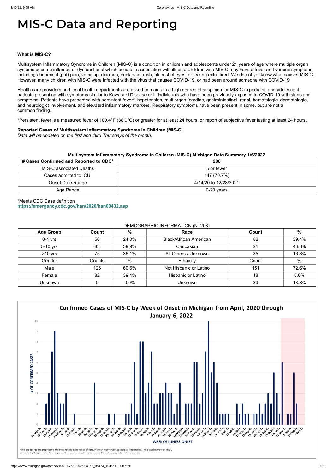# **MIS-C Data and Reporting**

#### **What is MIS-C?**

Multisystem Inflammatory Syndrome in Children (MIS-C) is a condition in children and adolescents under 21 years of age where multiple organ systems become inflamed or dysfunctional which occurs in association with illness. Children with MIS-C may have a fever and various symptoms, including abdominal (gut) pain, vomiting, diarrhea, neck pain, rash, bloodshot eyes, or feeling extra tired. We do not yet know what causes MIS-C. However, many children with MIS-C were infected with the virus that causes COVID-19, or had been around someone with COVID-19.

Health care providers and local health departments are asked to maintain a high degree of suspicion for MIS-C in pediatric and adolescent patients presenting with symptoms similar to Kawasaki Disease or ill individuals who have been previously exposed to COVID-19 with signs and symptoms. Patients have presented with persistent fever\*, hypotension, multiorgan (cardiac, gastrointestinal, renal, hematologic, dermatologic, and neurologic) involvement, and elevated inflammatory markers. Respiratory symptoms have been present in some, but are not a common finding.

\*Persistent fever is a measured fever of 100.4°F (38.0°C) or greater for at least 24 hours, or report of subjective fever lasting at least 24 hours.

#### **Reported Cases of Multisystem Inflammatory Syndrome in Children (MIS-C)**

*Data will be updated on the first and third Thursdays of the month.*

| Multisystem Inflammatory Syndrome in Children (MIS-C) Michigan Data Summary 1/6/2022 |                       |  |  |  |
|--------------------------------------------------------------------------------------|-----------------------|--|--|--|
| # Cases Confirmed and Reported to CDC*                                               | 208                   |  |  |  |
| <b>MIS-C associated Deaths</b>                                                       | 5 or fewer            |  |  |  |
| Cases admitted to ICU                                                                | 147 (70.7%)           |  |  |  |
| Onset Date Range                                                                     | 4/14/20 to 12/23/2021 |  |  |  |
| Age Range                                                                            | $0-20$ years          |  |  |  |

### \*Meets CDC Case definition **<https://emergency.cdc.gov/han/2020/han00432.asp>**

| DEMOGRAPHIC INFORMATION (N=208) |  |
|---------------------------------|--|
|---------------------------------|--|

| <b>Age Group</b> | Count  | $\%$  | Race                          | Count | $\%$  |
|------------------|--------|-------|-------------------------------|-------|-------|
| $0-4$ yrs        | 50     | 24.0% | <b>Black/African American</b> | 82    | 39.4% |
| 5-10 yrs         | 83     | 39.9% | Caucasian                     | 91    | 43.8% |
| $>10$ yrs        | 75     | 36.1% | All Others / Unknown          | 35    | 16.8% |
| Gender           | Counts | $\%$  | Ethnicity                     | Count | %     |
| Male             | 126    | 60.6% | Not Hispanic or Latino        | 151   | 72.6% |
| Female           | 82     | 39.4% | Hispanic or Latino            | 18    | 8.6%  |
| Unknown          |        | 0.0%  | <b>Unknown</b>                | 39    | 18.8% |